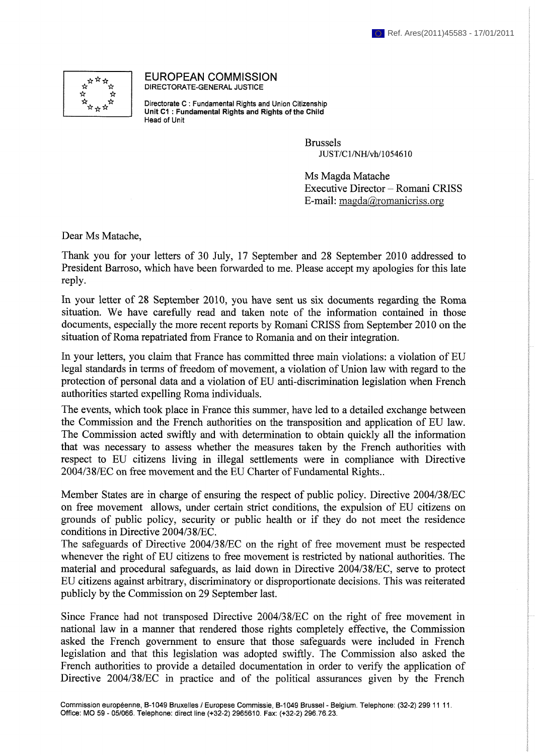

EUROPEAN COMMISSION DIRECTORATE-GENERAL JUSTICE

Directorate С : Fundamental Rights and Union Citizenship **Unit CI : Fundamental Rights and Rights of the Child** Head of Unit

> Brussels JUST/C1/NH/vh/l 054610

Ms Magda Matache Executive Director - Romani CRISS E-mail: [magda@romanicriss.org](mailto:magda@romanicriss.org)

Dear Ms Matache,

Thank you for your letters of 30 July, 17 September and 28 September 2010 addressed to President Barroso, which have been forwarded to me. Please accept my apologies for this late reply.

In your letter of 28 September 2010, you have sent us six documents regarding the Roma situation. We have carefully read and taken note of the information contained in those documents, especially the more recent reports by Romani CRISS from September 2010 on the situation of Roma repatriated from France to Romania and on their integration.

In your letters, you claim that France has committed three main violations: a violation of EU legal standards in terms of freedom of movement, a violation of Union law with regard to the protection of personal data and a violation of EU anti-discrimination legislation when French authorities started expelling Roma individuals.

The events, which took place in France this summer, have led to a detailed exchange between the Commission and the French authorities on the transposition and application of EU law. The Commission acted swiftly and with determination to obtain quickly all the information that was necessary to assess whether the measures taken by the French authorities with respect to EU citizens living in illegal settlements were in compliance with Directive 2004/38/EC on free movement and the EU Charter of Fundamental Rights..

Member States are in charge of ensuring the respect of public policy. Directive 2004/38/EC on free movement allows, under certain strict conditions, the expulsion of EU citizens on grounds of public policy, security or public health or if they do not meet the residence conditions in Directive 2004/38/EC.

The safeguards of Directive 2004/38/EC on the right of free movement must be respected whenever the right of EU citizens to free movement is restricted by national authorities. The material and procedural safeguards, as laid down in Directive 2004/38/EC, serve to protect EU citizens against arbitrary, discriminatory or disproportionate decisions. This was reiterated publicly by the Commission on 29 September last.

Since France had not transposed Directive 2004/38/EC on the right of free movement in national law in a manner that rendered those rights completely effective, the Commission asked the French government to ensure that those safeguards were included in French legislation and that this legislation was adopted swiftly. The Commission also asked the French authorities to provide a detailed documentation in order to verify the application of Directive 2004/38/EC in practice and of the political assurances given by the French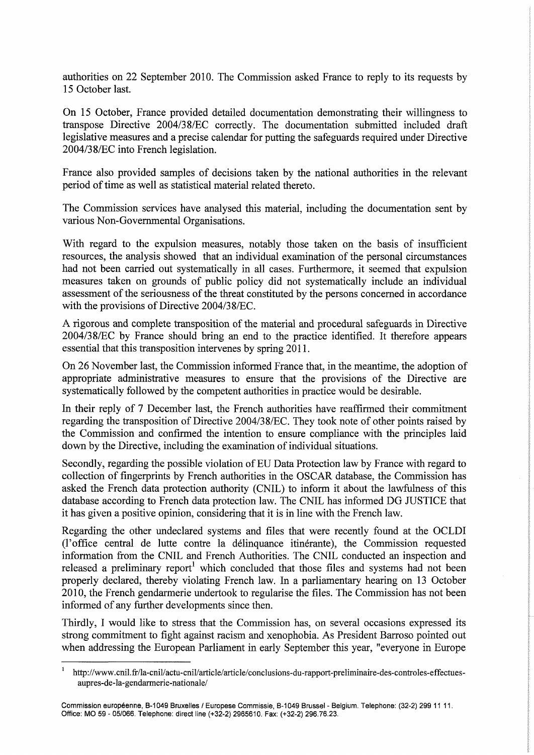authorities on 22 September 2010. The Commission asked France to reply to its requests by 15 October last.

On 15 October, France provided detailed documentation demonstrating their willingness to transpose Directive 2004/3 8/EC correctly. The documentation submitted included draft legislative measures and a precise calendar for putting the safeguards required under Directive 2004/3 8/EC into French legislation.

France also provided samples of decisions taken by the national authorities in the relevant period of time as well as statistical material related thereto.

The Commission services have analysed this material, including the documentation sent by various Non-Governmental Organisations.

With regard to the expulsion measures, notably those taken on the basis of insufficient resources, the analysis showed that an individual examination of the personal circumstances had not been carried out systematically in all cases. Furthermore, it seemed that expulsion measures taken on grounds of public policy did not systematically include an individual assessment of the seriousness of the threat constituted by the persons concerned in accordance with the provisions of Directive 2004/38/EC.

A rigorous and complete transposition of the material and procedural safeguards in Directive 2004/3 8/EC by France should bring an end to the practice identified. It therefore appears essential that this transposition intervenes by spring 2011.

On 26 November last, the Commission informed France that, in the meantime, the adoption of appropriate administrative measures to ensure that the provisions of the Directive are systematically followed by the competent authorities in practice would be desirable.

In their reply of 7 December last, the French authorities have reaffirmed their commitment regarding the transposition of Directive 2004/3 8/EC. They took note of other points raised by the Commission and confirmed the intention to ensure compliance with the principles laid down by the Directive, including the examination of individual situations.

Secondly, regarding the possible violation of EU Data Protection law by France with regard to collection of fingerprints by French authorities in the OSCAR database, the Commission has asked the French data protection authority (CNIL) to inform it about the lawfulness of this database according to French data protection law. The CNIL has informed DG JUSTICE that it has given a positive opinion, considering that it is in line with the French law.

Regarding the other undeclared systems and files that were recently found at the OCLDI (l'office central de lutte contre la délinquance itinérante), the Commission requested information from the CNIL and French Authorities. The CNIL conducted an inspection and released a preliminary report<sup>1</sup> which concluded that those files and systems had not been properly declared, thereby violating French law. In a parliamentary hearing on 13 October 2010, the French gendarmerie undertook to regularise the files. The Commission has not been informed of any further developments since then.

Thirdly, I would like to stress that the Commission has, on several occasions expressed its strong commitment to fight against racism and xenophobia. As President Barroso pointed out when addressing the European Parliament in early September this year, "everyone in Europe

<sup>1</sup> http://www.cnil.fr/la-cnil/actu-cnil/article/article/conclusions-du-rapport-preliminaire-des-controles-effectuesaupres-de-la-gendarmerie-nationale/